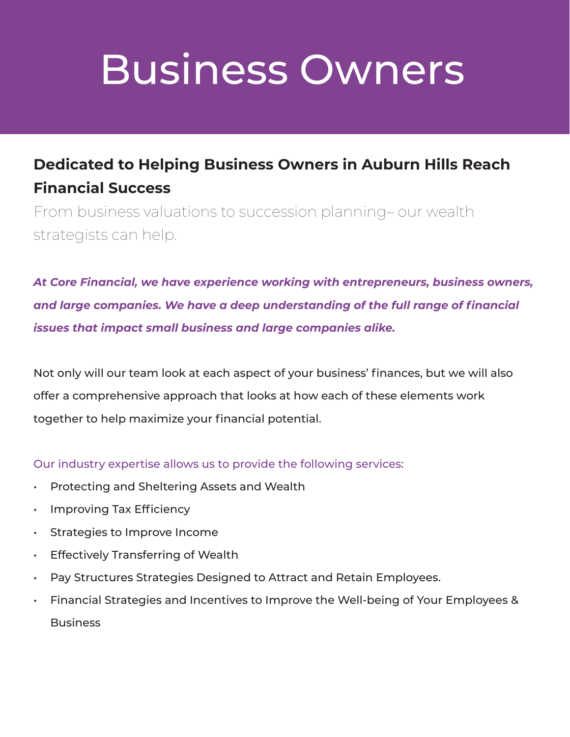#### **Dedicated to Helping Business Owners in Auburn Hills Reach Financial Success**

From business valuations to succession planning– our wealth strategists can help.

*At Core Financial, we have experience working with entrepreneurs, business owners, and large companies. We have a deep understanding of the full range of financial issues that impact small business and large companies alike.*

Not only will our team look at each aspect of your business' finances, but we will also offer a comprehensive approach that looks at how each of these elements work together to help maximize your financial potential.

Our industry expertise allows us to provide the following services:

- Protecting and Sheltering Assets and Wealth
- Improving Tax Efficiency
- Strategies to Improve Income
- Effectively Transferring of Wealth
- Pay Structures Strategies Designed to Attract and Retain Employees.
- Financial Strategies and Incentives to Improve the Well-being of Your Employees & Business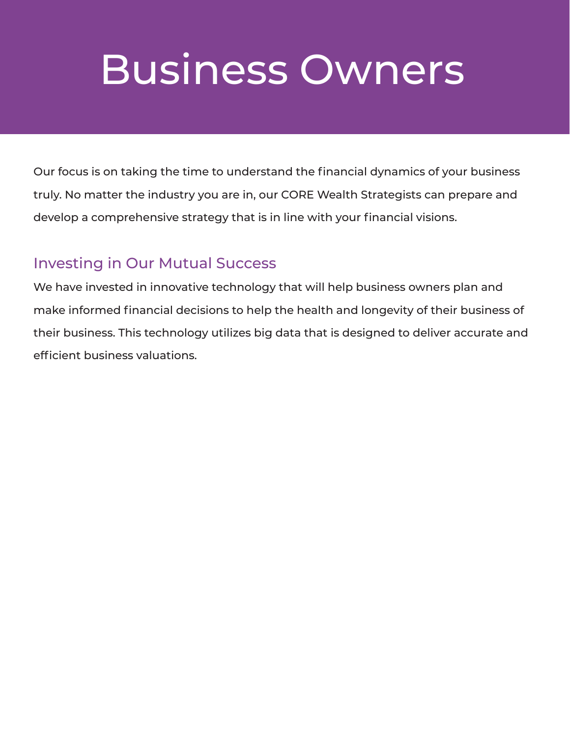Our focus is on taking the time to understand the financial dynamics of your business truly. No matter the industry you are in, our CORE Wealth Strategists can prepare and develop a comprehensive strategy that is in line with your financial visions.

#### Investing in Our Mutual Success

We have invested in innovative technology that will help business owners plan and make informed financial decisions to help the health and longevity of their business of their business. This technology utilizes big data that is designed to deliver accurate and efficient business valuations.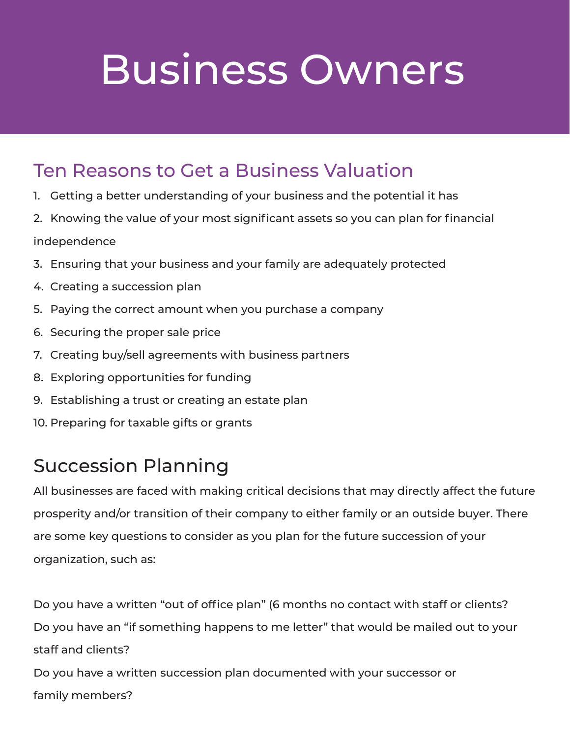#### Ten Reasons to Get a Business Valuation

- 1. Getting a better understanding of your business and the potential it has
- 2. Knowing the value of your most significant assets so you can plan for financial independence
- 3. Ensuring that your business and your family are adequately protected
- 4. Creating a succession plan
- 5. Paying the correct amount when you purchase a company
- 6. Securing the proper sale price
- 7. Creating buy/sell agreements with business partners
- 8. Exploring opportunities for funding
- 9. Establishing a trust or creating an estate plan
- 10. Preparing for taxable gifts or grants

### Succession Planning

All businesses are faced with making critical decisions that may directly affect the future prosperity and/or transition of their company to either family or an outside buyer. There are some key questions to consider as you plan for the future succession of your organization, such as:

Do you have a written "out of office plan" (6 months no contact with staff or clients? Do you have an "if something happens to me letter" that would be mailed out to your staff and clients? Do you have a written succession plan documented with your successor or

family members?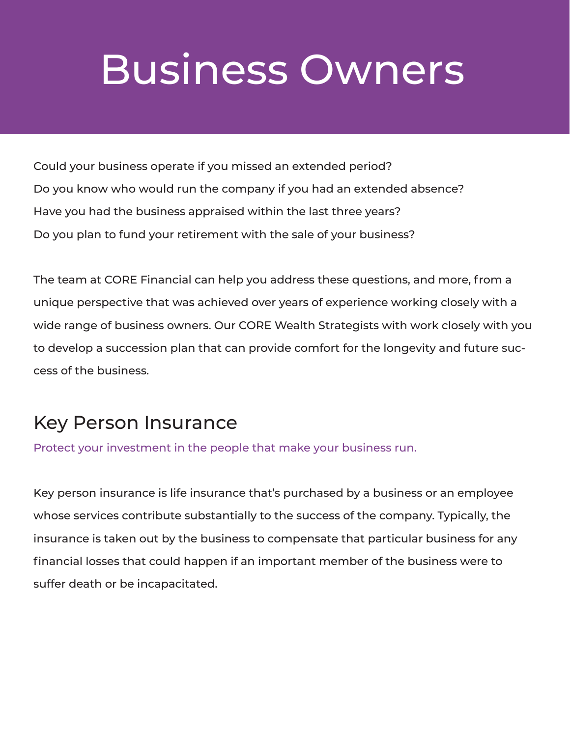Could your business operate if you missed an extended period? Do you know who would run the company if you had an extended absence? Have you had the business appraised within the last three years? Do you plan to fund your retirement with the sale of your business?

The team at CORE Financial can help you address these questions, and more, from a unique perspective that was achieved over years of experience working closely with a wide range of business owners. Our CORE Wealth Strategists with work closely with you to develop a succession plan that can provide comfort for the longevity and future success of the business.

### Key Person Insurance

Protect your investment in the people that make your business run.

Key person insurance is life insurance that's purchased by a business or an employee whose services contribute substantially to the success of the company. Typically, the insurance is taken out by the business to compensate that particular business for any financial losses that could happen if an important member of the business were to suffer death or be incapacitated.